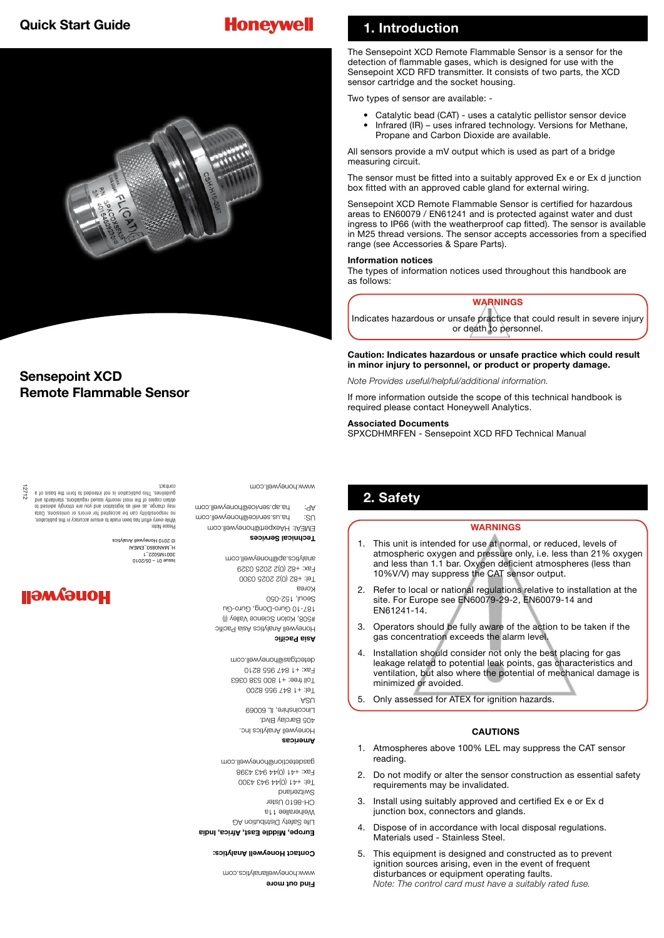# **Honeywell**



### **Sensepoint XCD Remote Flammable Sensor**

# **1. Introduction**

The Sensepoint XCD Remote Flammable Sensor is a sensor for the detection of flammable gases, which is designed for use with the Sensepoint XCD RFD transmitter. It consists of two parts, the XCD sensor cartridge and the socket housing.

Two types of sensor are available: -

- Catalytic bead (CAT) uses a catalytic pellistor sensor device • Infrared (IR) – uses infrared technology. Versions for Methane,
- Propane and Carbon Dioxide are available.

All sensors provide a mV output which is used as part of a bridge measuring circuit.

The sensor must be fitted into a suitably approved Ex e or Ex d junction box fitted with an approved cable gland for external wiring.

Sensepoint XCD Remote Flammable Sensor is certified for hazardous areas to EN60079 / EN61241 and is protected against water and dust ingress to IP66 (with the weatherproof cap fitted). The sensor is available in M25 thread versions. The sensor accepts accessories from a specified range (see Accessories & Spare Parts).

### **Information notices**

The types of information notices used throughout this handbook are as follows:

### **WARNINGS**

Indicates hazardous or unsafe practice that could result in severe injury or death to personnel.

**Caution: Indicates hazardous or unsafe practice which could result in minor injury to personnel, or product or property damage.**

*Note Provides useful/helpful/additional information.*

If more information outside the scope of this technical handbook is required please contact Honeywell Analytics.

### **Associated Documents**

SPXCDHMRFEN - Sensepoint XCD RFD Technical Manual

## **2. Safety**

### **WARNINGS**

- 1. This unit is intended for use at normal, or reduced, levels of atmospheric oxygen and pressure only, i.e. less than 21% oxygen and less than 1.1 bar. Oxygen deficient atmospheres (less than 10%V/V) may suppress the CAT sensor output.
- 2. Refer to local or national regulations relative to installation at the site. For Europe see EN60079-29-2, EN60079-14 and EN61241-14.
- 3. Operators should be fully aware of the action to be taken if the gas concentration exceeds the alarm level.
- 4. Installation should consider not only the best placing for gas leakage related to potential leak points, gas characteristics and ventilation, but also where the potential of mechanical damage is minimized or avoided.
- 5. Only assessed for ATEX for ignition hazards.

### **CAUTIONS**

- 1. Atmospheres above 100% LEL may suppress the CAT sensor reading.
- 2. Do not modify or alter the sensor construction as essential safety requirements may be invalidated.
- 3. Install using suitably approved and certified Ex e or Ex d junction box, connectors and glands.
- 4. Dispose of in accordance with local disposal regulations. Materials used - Stainless Steel.
- 5. This equipment is designed and constructed as to prevent ignition sources arising, even in the event of frequent disturbances or equipment operating faults. *Note: The control card must have a suitably rated fuse.*

12712 Please Note: , rodiscillated at in versures enterered shorterned astributies (version) and allow allow the special control of a special control of a control of a control of a control of a control of a control of a control of a control

> Fax: +82 (0)2 2025 0329 Issue 01 – 05/2010 analytics.ap@honeywell.com 3001M5022\_1 H\_MAN0893\_EMEAI © 2010 Honeywell Analytics

# **HONGAMGII**

Toll free: +1 800 538 0363 Fax: +1 847 955 8210 detectgas@honeywell.com **Asia Pacific**  Honeywell Analytics Asia Pacific #508, Kolon Science Valley (I)

187-10 Guro-Dong, Guro-Gu

www.honeywell.com

**Technical Services**

0 Tel: +82 (0)2 2025 030

Seoul, 152-050 Korea

EMEAI: HAexpert@honeywell.com US: ha.us.service@honeywell.com ha.ap.service@honeywell.com

> **Americas** Honeywell Analytics Inc. 405 Barclay Blvd. Lincolnshire, IL 60069  $\forall$ SN Tel: +1 847 955 8200

**Europe, Middle East, Africa, India** Life Safety Distribution AG Weiherallee 11a CH-8610 Uster Switzerland 0 Tel: +41 (0)44 943 430 Fax: +41 (0)44 943 4398 gasdetection@honeywell.com

#### **Contact Honeywell Analytics:**

**e Find out mor** .honeywellanalytics.com www